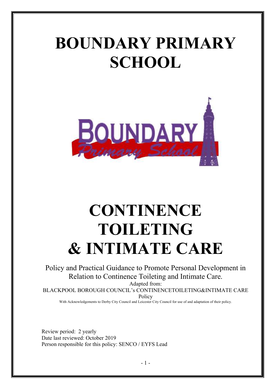# **BOUNDARY PRIMARY SCHOOL**



# **CONTINENCE TOILETING & INTIMATE CARE**

Policy and Practical Guidance to Promote Personal Development in Relation to Continence Toileting and Intimate Care.

Adapted from:

BLACKPOOL BOROUGH COUNCIL's CONTINENCETOILETING&INTIMATE CARE Policy

With Acknowledgements to Derby City Council and Leicester City Council for use of and adaptation of their policy.

Review period: 2 yearly Date last reviewed: October 2019 Person responsible for this policy: SENCO / EYFS Lead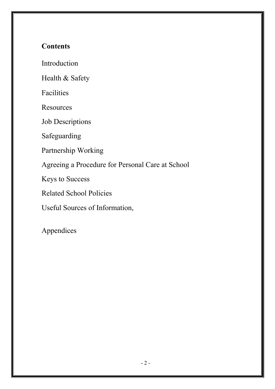## **Contents**

Introduction

Health & Safety

Facilities

Resources

Job Descriptions

Safeguarding

Partnership Working

Agreeing a Procedure for Personal Care at School

Keys to Success

Related School Policies

Useful Sources of Information,

Appendices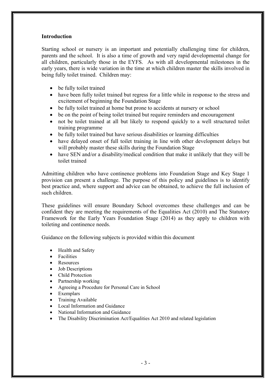#### **Introduction**

Starting school or nursery is an important and potentially challenging time for children, parents and the school. It is also a time of growth and very rapid developmental change for all children, particularly those in the EYFS. As with all developmental milestones in the early years, there is wide variation in the time at which children master the skills involved in being fully toilet trained. Children may:

- be fully toilet trained
- have been fully toilet trained but regress for a little while in response to the stress and excitement of beginning the Foundation Stage
- be fully toilet trained at home but prone to accidents at nursery or school
- be on the point of being toilet trained but require reminders and encouragement
- not be toilet trained at all but likely to respond quickly to a well structured toilet training programme
- be fully toilet trained but have serious disabilities or learning difficulties
- have delayed onset of full toilet training in line with other development delays but will probably master these skills during the Foundation Stage
- have SEN and/or a disability/medical condition that make it unlikely that they will be toilet trained

Admitting children who have continence problems into Foundation Stage and Key Stage 1 provision can present a challenge. The purpose of this policy and guidelines is to identify best practice and, where support and advice can be obtained, to achieve the full inclusion of such children.

These guidelines will ensure Boundary School overcomes these challenges and can be confident they are meeting the requirements of the Equalities Act (2010) and The Statutory Framework for the Early Years Foundation Stage (2014) as they apply to children with toileting and continence needs.

Guidance on the following subjects is provided within this document

- Health and Safety
- **Facilities**
- Resources
- Job Descriptions
- Child Protection
- Partnership working
- Agreeing a Procedure for Personal Care in School
- Exemplars
- Training Available
- Local Information and Guidance
- National Information and Guidance
- The Disability Discrimination Act/Equalities Act 2010 and related legislation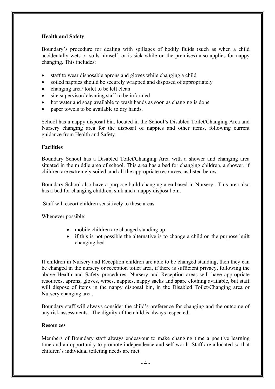#### **Health and Safety**

Boundary's procedure for dealing with spillages of bodily fluids (such as when a child accidentally wets or soils himself, or is sick while on the premises) also applies for nappy changing. This includes:

- staff to wear disposable aprons and gloves while changing a child
- soiled nappies should be securely wrapped and disposed of appropriately
- changing area/ toilet to be left clean
- site supervisor/ cleaning staff to be informed
- hot water and soap available to wash hands as soon as changing is done
- paper towels to be available to dry hands.

School has a nappy disposal bin, located in the School's Disabled Toilet/Changing Area and Nursery changing area for the disposal of nappies and other items, following current guidance from Health and Safety.

#### **Facilities**

Boundary School has a Disabled Toilet/Changing Area with a shower and changing area situated in the middle area of school. This area has a bed for changing children, a shower, if children are extremely soiled, and all the appropriate resources, as listed below.

Boundary School also have a purpose build changing area based in Nursery. This area also has a bed for changing children, sink and a nappy disposal bin.

Staff will escort children sensitively to these areas.

Whenever possible:

- mobile children are changed standing up
- if this is not possible the alternative is to change a child on the purpose built changing bed

If children in Nursery and Reception children are able to be changed standing, then they can be changed in the nursery or reception toilet area, if there is sufficient privacy, following the above Health and Safety procedures. Nursery and Reception areas will have appropriate resources, aprons, gloves, wipes, nappies, nappy sacks and spare clothing available, but staff will dispose of items in the nappy disposal bin, in the Disabled Toilet/Changing area or Nursery changing area.

Boundary staff will always consider the child's preference for changing and the outcome of any risk assessments. The dignity of the child is always respected.

#### **Resources**

Members of Boundary staff always endeavour to make changing time a positive learning time and an opportunity to promote independence and self-worth. Staff are allocated so that children's individual toileting needs are met.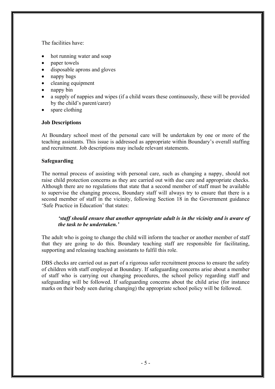The facilities have:

- hot running water and soap
- paper towels
- disposable aprons and gloves
- nappy bags
- cleaning equipment
- nappy bin
- a supply of nappies and wipes (if a child wears these continuously, these will be provided by the child's parent/carer)
- spare clothing

#### **Job Descriptions**

At Boundary school most of the personal care will be undertaken by one or more of the teaching assistants. This issue is addressed as appropriate within Boundary's overall staffing and recruitment. Job descriptions may include relevant statements.

#### **Safeguarding**

The normal process of assisting with personal care, such as changing a nappy, should not raise child protection concerns as they are carried out with due care and appropriate checks. Although there are no regulations that state that a second member of staff must be available to supervise the changing process, Boundary staff will always try to ensure that there is a second member of staff in the vicinity, following Section 18 in the Government guidance 'Safe Practice in Education' that states:

#### *'staff should ensure that another appropriate adult is in the vicinity and is aware of the task to be undertaken.'*

The adult who is going to change the child will inform the teacher or another member of staff that they are going to do this. Boundary teaching staff are responsible for facilitating, supporting and releasing teaching assistants to fulfil this role.

DBS checks are carried out as part of a rigorous safer recruitment process to ensure the safety of children with staff employed at Boundary. If safeguarding concerns arise about a member of staff who is carrying out changing procedures, the school policy regarding staff and safeguarding will be followed. If safeguarding concerns about the child arise (for instance marks on their body seen during changing) the appropriate school policy will be followed.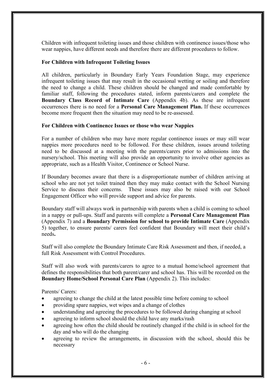Children with infrequent toileting issues and those children with continence issues/those who wear nappies, have different needs and therefore there are different procedures to follow.

#### **For Children with Infrequent Toileting Issues**

All children, particularly in Boundary Early Years Foundation Stage, may experience infrequent toileting issues that may result in the occasional wetting or soiling and therefore the need to change a child. These children should be changed and made comfortable by familiar staff, following the procedures stated, inform parents/carers and complete the **Boundary Class Record of Intimate Care** (Appendix 4b). As these are infrequent occurrences there is no need for a **Personal Care Management Plan.** If these occurrences become more frequent then the situation may need to be re-assessed.

#### **For Children with Continence Issues or those who wear Nappies**

For a number of children who may have more regular continence issues or may still wear nappies more procedures need to be followed. For these children, issues around toileting need to be discussed at a meeting with the parents/carers prior to admissions into the nursery/school. This meeting will also provide an opportunity to involve other agencies as appropriate, such as a Health Visitor, Continence or School Nurse.

If Boundary becomes aware that there is a disproportionate number of children arriving at school who are not yet toilet trained then they may make contact with the School Nursing Service to discuss their concerns. These issues may also be raised with our School Engagement Officer who will provide support and advice for parents.

Boundary staff will always work in partnership with parents when a child is coming to school in a nappy or pull-ups. Staff and parents will complete a **Personal Care Management Plan** (Appendix 7) and a **Boundary Permission for school to provide Intimate Care** (Appendix 5) together, to ensure parents/ carers feel confident that Boundary will meet their child's needs**.** 

Staff will also complete the Boundary Intimate Care Risk Assessment and then, if needed, a full Risk Assessment with Control Procedures.

Staff will also work with parents/carers to agree to a mutual home/school agreement that defines the responsibilities that both parent/carer and school has. This will be recorded on the **Boundary Home/School Personal Care Plan** (Appendix 2). This includes:

Parents/ Carers:

- agreeing to change the child at the latest possible time before coming to school
- providing spare nappies, wet wipes and a change of clothes
- understanding and agreeing the procedures to be followed during changing at school
- agreeing to inform school should the child have any marks/rash
- agreeing how often the child should be routinely changed if the child is in school for the day and who will do the changing
- agreeing to review the arrangements, in discussion with the school, should this be necessary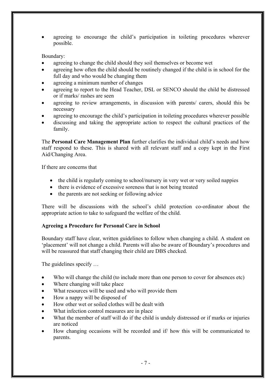agreeing to encourage the child's participation in toileting procedures wherever possible.

#### Boundary:

- agreeing to change the child should they soil themselves or become wet
- agreeing how often the child should be routinely changed if the child is in school for the full day and who would be changing them
- agreeing a minimum number of changes
- agreeing to report to the Head Teacher, DSL or SENCO should the child be distressed or if marks/ rashes are seen
- agreeing to review arrangements, in discussion with parents/ carers, should this be necessary
- agreeing to encourage the child's participation in toileting procedures wherever possible
- discussing and taking the appropriate action to respect the cultural practices of the family.

The **Personal Care Management Plan** further clarifies the individual child's needs and how staff respond to these. This is shared with all relevant staff and a copy kept in the First Aid/Changing Area.

If there are concerns that

- the child is regularly coming to school/nursery in very wet or very soiled nappies
- there is evidence of excessive soreness that is not being treated
- the parents are not seeking or following advice

There will be discussions with the school's child protection co-ordinator about the appropriate action to take to safeguard the welfare of the child.

#### **Agreeing a Procedure for Personal Care in School**

Boundary staff have clear, written guidelines to follow when changing a child. A student on 'placement' will not change a child. Parents will also be aware of Boundary's procedures and will be reassured that staff changing their child are DBS checked.

The guidelines specify …

- Who will change the child (to include more than one person to cover for absences etc)
- Where changing will take place
- What resources will be used and who will provide them
- How a nappy will be disposed of
- How other wet or soiled clothes will be dealt with
- What infection control measures are in place
- What the member of staff will do if the child is unduly distressed or if marks or injuries are noticed
- How changing occasions will be recorded and if/ how this will be communicated to parents.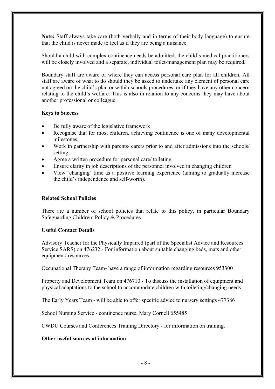**Note:** Staff always take care (both verbally and in terms of their body language) to ensure that the child is never made to feel as if they are being a nuisance.

Should a child with complex continence needs be admitted, the child's medical practitioners will be closely involved and a separate, individual toilet-management plan may be required.

Boundary staff are aware of where they can access personal care plan for all children. All staff are aware of what to do should they be asked to undertake any element of personal care not agreed on the child's plan or within schools procedures, or if they have any other concern relating to the child's welfare. This is also in relation to any concerns they may have about another professional or colleague.

#### **Keys to Success**

- Be fully aware of the legislative framework
- Recognise that for most children, achieving continence is one of many developmental milestones,
- Work in partnership with parents/ carers prior to and after admissions into the schools/ setting
- Agree a written procedure for personal care/ toileting
- Ensure clarity in job descriptions of the personnel involved in changing children
- View 'changing' time as a positive learning experience (aiming to gradually increase the child's independence and self-worth).

#### **Related School Policies**

There are a number of school policies that relate to this policy, in particular Boundary Safeguarding Children: Policy & Procedures

#### **Useful Contact Details**

Advisory Teacher for the Physically Impaired (part of the Specialist Advice and Resources Service SARS) on 476232 - For information about suitable changing beds, mats and other equipment/ resources.

Occupational Therapy Team- have a range of information regarding resources 953300

Property and Development Team on 476710 - To discuss the installation of equipment and physical adaptations to the school to accommodate children with toileting/changing needs

The Early Years Team - will be able to offer specific advice to nursery settings 477386

School Nursing Service - continence nurse, Mary Cornell 655485

CWDU Courses and Conferences Training Directory - for information on training.

#### **Other useful sources of information**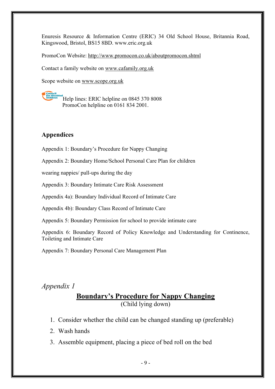Enuresis Resource & Information Centre (ERIC) 34 Old School House, Britannia Road, Kingswood, Bristol, BS15 8BD. www.eric.org.uk

PromoCon Website: http://www.promocon.co.uk/aboutpromocon.shtml

Contact a family website on www.cafamily.org.uk

Scope website on www.scope.org.uk

Help lines: ERIC helpline on 0845 370 8008 PromoCon helpline on 0161 834 2001.

#### **Appendices**

Appendix 1: Boundary's Procedure for Nappy Changing

Appendix 2: Boundary Home/School Personal Care Plan for children

wearing nappies/ pull-ups during the day

Appendix 3: Boundary Intimate Care Risk Assessment

Appendix 4a): Boundary Individual Record of Intimate Care

Appendix 4b): Boundary Class Record of Intimate Care

Appendix 5: Boundary Permission for school to provide intimate care

Appendix 6: Boundary Record of Policy Knowledge and Understanding for Continence, Toileting and Intimate Care

Appendix 7: Boundary Personal Care Management Plan

#### *Appendix 1*

### **Boundary's Procedure for Nappy Changing** (Child lying down)

- 1. Consider whether the child can be changed standing up (preferable)
- 2. Wash hands
- 3. Assemble equipment, placing a piece of bed roll on the bed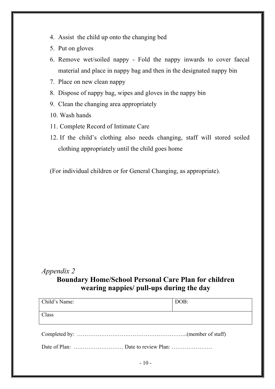- 4. Assist the child up onto the changing bed
- 5. Put on gloves
- 6. Remove wet/soiled nappy Fold the nappy inwards to cover faecal material and place in nappy bag and then in the designated nappy bin
- 7. Place on new clean nappy
- 8. Dispose of nappy bag, wipes and gloves in the nappy bin
- 9. Clean the changing area appropriately
- 10. Wash hands
- 11. Complete Record of Intimate Care
- 12. If the child's clothing also needs changing, staff will stored soiled clothing appropriately until the child goes home

(For individual children or for General Changing, as appropriate).

# *Appendix 2*

### **Boundary Home/School Personal Care Plan for children wearing nappies/ pull-ups during the day**

| Child's Name: | DOB: |  |  |  |
|---------------|------|--|--|--|
| Class         |      |  |  |  |
|               |      |  |  |  |
|               |      |  |  |  |
| $-10-$        |      |  |  |  |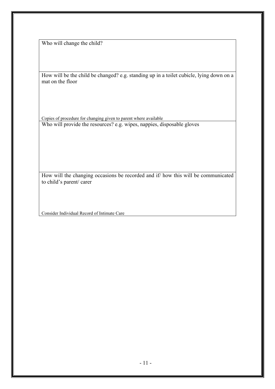Who will change the child?

How will be the child be changed? e.g. standing up in a toilet cubicle, lying down on a mat on the floor

Copies of procedure for changing given to parent where available Who will provide the resources? e.g. wipes, nappies, disposable gloves

How will the changing occasions be recorded and if/ how this will be communicated to child's parent/ carer

Consider Individual Record of Intimate Care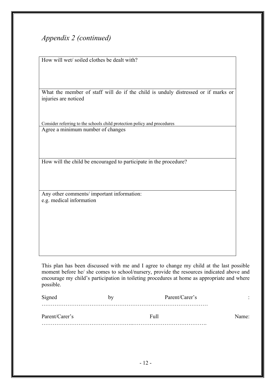## *Appendix 2 (continued)*

How will wet/ soiled clothes be dealt with?

What the member of staff will do if the child is unduly distressed or if marks or injuries are noticed

Consider referring to the schools child protection policy and procedures Agree a minimum number of changes

How will the child be encouraged to participate in the procedure?

Any other comments/ important information: e.g. medical information

This plan has been discussed with me and I agree to change my child at the last possible moment before he/ she comes to school/nursery, provide the resources indicated above and encourage my child's participation in toileting procedures at home as appropriate and where possible.

| Signed         | bv | Parent/Carer's | $\bullet$<br>٠ |
|----------------|----|----------------|----------------|
|                |    |                |                |
| Parent/Carer's |    | Fu11           | Name:          |
|                |    |                |                |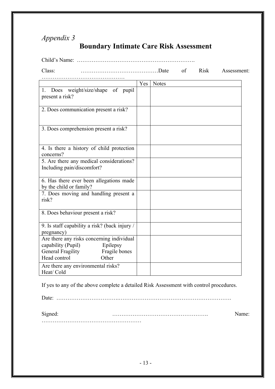# *Appendix 3*

# **Boundary Intimate Care Risk Assessment**

| Class:                                                                 |     | $\circ$ f<br>Risk |  |  | Assessment: |
|------------------------------------------------------------------------|-----|-------------------|--|--|-------------|
|                                                                        |     |                   |  |  |             |
|                                                                        | Yes | <b>Notes</b>      |  |  |             |
| 1. Does weight/size/shape of pupil<br>present a risk?                  |     |                   |  |  |             |
| 2. Does communication present a risk?                                  |     |                   |  |  |             |
| 3. Does comprehension present a risk?                                  |     |                   |  |  |             |
| 4. Is there a history of child protection<br>concerns?                 |     |                   |  |  |             |
| 5. Are there any medical considerations?<br>Including pain/discomfort? |     |                   |  |  |             |
| 6. Has there ever been allegations made<br>by the child or family?     |     |                   |  |  |             |
| 7. Does moving and handling present a<br>risk?                         |     |                   |  |  |             |
| 8. Does behaviour present a risk?                                      |     |                   |  |  |             |
| 9. Is staff capability a risk? (back injury /<br>pregnancy)            |     |                   |  |  |             |
| Are there any risks concerning individual                              |     |                   |  |  |             |
| capability (Pupil)<br>Epilepsy                                         |     |                   |  |  |             |
| <b>General Fragility</b><br>Fragile bones<br>Head control<br>Other     |     |                   |  |  |             |
| Are there any environmental risks?<br>Heat/Cold                        |     |                   |  |  |             |

If yes to any of the above complete a detailed Risk Assessment with control procedures.

Date: …………………………….…………………………………………………….

Signed: ……………………………………………. Name:

………………………………………………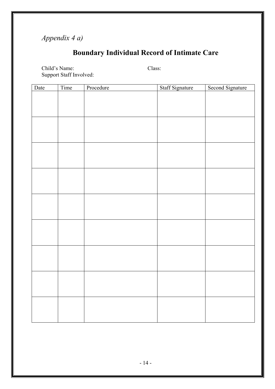# *Appendix 4 a)*

# **Boundary Individual Record of Intimate Care**

Child's Name: Class: Support Staff Involved:

| Date | Time | Procedure | Staff Signature | Second Signature |
|------|------|-----------|-----------------|------------------|
|      |      |           |                 |                  |
|      |      |           |                 |                  |
|      |      |           |                 |                  |
|      |      |           |                 |                  |
|      |      |           |                 |                  |
|      |      |           |                 |                  |
|      |      |           |                 |                  |
|      |      |           |                 |                  |
|      |      |           |                 |                  |
|      |      |           |                 |                  |
|      |      |           |                 |                  |
|      |      |           |                 |                  |
|      |      |           |                 |                  |
|      |      |           |                 |                  |
|      |      |           |                 |                  |
|      |      |           |                 |                  |
|      |      |           |                 |                  |
|      |      |           |                 |                  |
|      |      |           |                 |                  |
|      |      |           |                 |                  |
|      |      |           |                 |                  |
|      |      |           |                 |                  |
|      |      |           |                 |                  |
|      |      |           |                 |                  |
|      |      |           |                 |                  |
|      |      |           |                 |                  |
|      |      |           |                 |                  |
|      |      |           |                 |                  |
|      |      |           |                 |                  |
|      |      |           |                 |                  |
|      |      |           |                 |                  |
|      |      |           |                 |                  |
|      |      |           |                 |                  |
|      |      |           |                 |                  |
|      |      |           |                 |                  |
|      |      |           |                 |                  |
|      |      |           |                 |                  |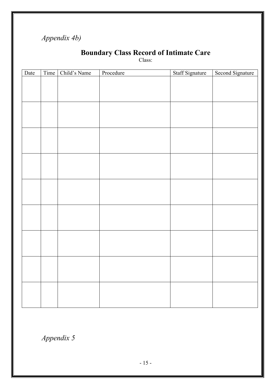# *Appendix 4b)*

## **Boundary Class Record of Intimate Care**

Class:

| Date | Time   Child's Name | Procedure | Staff Signature | Second Signature |
|------|---------------------|-----------|-----------------|------------------|
|      |                     |           |                 |                  |
|      |                     |           |                 |                  |
|      |                     |           |                 |                  |
|      |                     |           |                 |                  |
|      |                     |           |                 |                  |
|      |                     |           |                 |                  |
|      |                     |           |                 |                  |
|      |                     |           |                 |                  |
|      |                     |           |                 |                  |
|      |                     |           |                 |                  |
|      |                     |           |                 |                  |
|      |                     |           |                 |                  |
|      |                     |           |                 |                  |
|      |                     |           |                 |                  |
|      |                     |           |                 |                  |
|      |                     |           |                 |                  |
|      |                     |           |                 |                  |
|      |                     |           |                 |                  |
|      |                     |           |                 |                  |
|      |                     |           |                 |                  |
|      |                     |           |                 |                  |
|      |                     |           |                 |                  |
|      |                     |           |                 |                  |
|      |                     |           |                 |                  |
|      |                     |           |                 |                  |
|      |                     |           |                 |                  |
|      |                     |           |                 |                  |
|      |                     |           |                 |                  |
|      |                     |           |                 |                  |

*Appendix 5*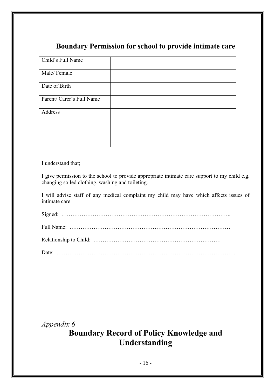## **Boundary Permission for school to provide intimate care**

| Child's Full Name         |  |
|---------------------------|--|
| Male/Female               |  |
| Date of Birth             |  |
| Parent/ Carer's Full Name |  |
| Address                   |  |
|                           |  |
|                           |  |

I understand that;

I give permission to the school to provide appropriate intimate care support to my child e.g. changing soiled clothing, washing and toileting.

I will advise staff of any medical complaint my child may have which affects issues of intimate care

*Appendix 6*

# **Boundary Record of Policy Knowledge and Understanding**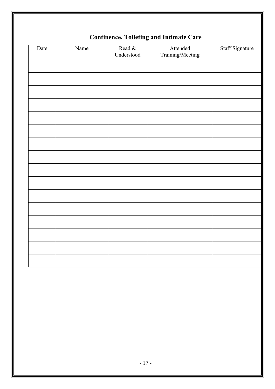|      | $\overline{\phantom{a}}$<br>O |            |                  |                 |  |  |
|------|-------------------------------|------------|------------------|-----------------|--|--|
| Date | Name                          | Read &     | Attended         | Staff Signature |  |  |
|      |                               | Understood | Training/Meeting |                 |  |  |
|      |                               |            |                  |                 |  |  |
|      |                               |            |                  |                 |  |  |
|      |                               |            |                  |                 |  |  |
|      |                               |            |                  |                 |  |  |
|      |                               |            |                  |                 |  |  |
|      |                               |            |                  |                 |  |  |
|      |                               |            |                  |                 |  |  |
|      |                               |            |                  |                 |  |  |
|      |                               |            |                  |                 |  |  |
|      |                               |            |                  |                 |  |  |
|      |                               |            |                  |                 |  |  |
|      |                               |            |                  |                 |  |  |
|      |                               |            |                  |                 |  |  |
|      |                               |            |                  |                 |  |  |
|      |                               |            |                  |                 |  |  |
|      |                               |            |                  |                 |  |  |
|      |                               |            |                  |                 |  |  |
|      |                               |            |                  |                 |  |  |

## **Continence, Toileting and Intimate Care**